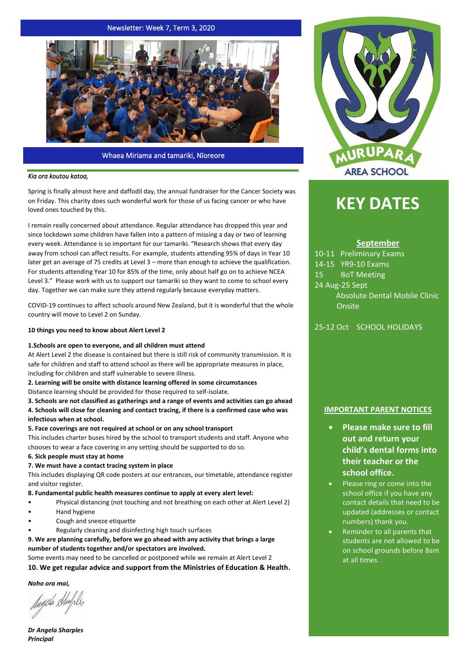## Newsletter: Week 7, Term 3, 2020



#### Whaea Miriama and tamariki, Nīoreore

#### *Kia ora koutou katoa,*

Spring is finally almost here and daffodil day, the annual fundraiser for the Cancer Society was on Friday. This charity does such wonderful work for those of us facing cancer or who have loved ones touched by this.

I remain really concerned about attendance. Regular attendance has dropped this year and since lockdown some children have fallen into a pattern of missing a day or two of learning every week. Attendance is so important for our tamariki. "Research shows that every day away from school can affect results. For example, students attending 95% of days in Year 10 later get an average of 75 credits at Level 3 – more than enough to achieve the qualification. For students attending Year 10 for 85% of the time, only about half go on to achieve NCEA Level 3." Please work with us to support our tamariki so they want to come to school every day. Together we can make sure they attend regularly because everyday matters.

COVID-19 continues to affect schools around New Zealand, but it is wonderful that the whole country will move to Level 2 on Sunday.

#### **10 things you need to know about Alert Level 2**

#### **1.Schools are open to everyone, and all children must attend**

At Alert Level 2 the disease is contained but there is still risk of community transmission. It is safe for children and staff to attend school as there will be appropriate measures in place, including for children and staff vulnerable to severe illness.

**2. Learning will be onsite with distance learning offered in some circumstances**

Distance learning should be provided for those required to self-isolate.

**3. Schools are not classified as gatherings and a range of events and activities can go ahead 4. Schools will close for cleaning and contact tracing, if there is a confirmed case who was infectious when at school.**

#### **5. Face coverings are not required at school or on any school transport**

This includes charter buses hired by the school to transport students and staff. Anyone who chooses to wear a face covering in any setting should be supported to do so.

#### **6. Sick people must stay at home**

#### **7. We must have a contact tracing system in place**

This includes displaying QR code posters at our entrances, our timetable, attendance register and visitor register.

#### **8. Fundamental public health measures continue to apply at every alert level:**

- Physical distancing (not touching and not breathing on each other at Alert Level 2)
- Hand hygiene
- Cough and sneeze etiquette
- Regularly cleaning and disinfecting high touch surfaces

**9. We are planning carefully, before we go ahead with any activity that brings a large number of students together and/or spectators are involved.**

Some events may need to be cancelled or postponed while we remain at Alert Level 2

**10. We get regular advice and support from the Ministries of Education & Health.**

*Noho ora mai,*

Jagela Shmple

*Dr Angela Sharples Principal*



# **KEY DATES**

### **September**

10-11 Preliminary Exams 14-15 YR9-10 Exams 15 BoT Meeting 24 Aug-25 Sept Absolute Dental Mobile Clinic Onsite

25-12 Oct SCHOOL HOLIDAYS

#### **IMPORTANT PARENT NOTICES**

- **Please make sure to fill out and return your child's dental forms into their teacher or the school office.**
- Please ring or come into the school office if you have any contact details that need to be updated (addresses or contact numbers) thank you.
- Reminder to all parents that students are not allowed to be on school grounds before 8am at all times.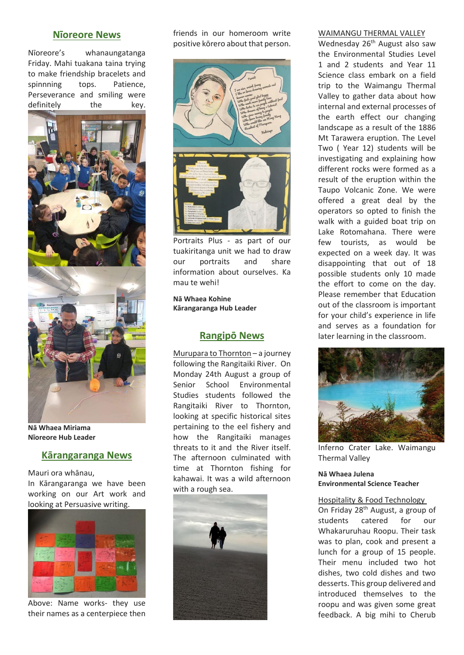## **Nīoreore News**

Nīoreore's whanaungatanga Friday. Mahi tuakana taina trying to make friendship bracelets and spinnning tops. Patience, Perseverance and smiling were definitely the key.



**Nā Whaea Miriama Nīoreore Hub Leader**

# **Kārangaranga News**

Mauri ora whānau,

In Kārangaranga we have been working on our Art work and looking at Persuasive writing.



Above: Name works- they use their names as a centerpiece then

friends in our homeroom write positive kōrero about that person.



Portraits Plus - as part of our tuakiritanga unit we had to draw our portraits and share information about ourselves. Ka mau te wehi!

**Nā Whaea Kohine Kārangaranga Hub Leader**

## **Rangipō News**

Murupara to Thornton – a journey following the Rangitaiki River. On Monday 24th August a group of Senior School Environmental Studies students followed the Rangitaiki River to Thornton, looking at specific historical sites pertaining to the eel fishery and how the Rangitaiki manages threats to it and the River itself. The afternoon culminated with time at Thornton fishing for kahawai. It was a wild afternoon with a rough sea.



### WAIMANGU THERMAL VALLEY

Wednesday 26<sup>th</sup> August also saw the Environmental Studies Level 1 and 2 students and Year 11 Science class embark on a field trip to the Waimangu Thermal Valley to gather data about how internal and external processes of the earth effect our changing landscape as a result of the 1886 Mt Tarawera eruption. The Level Two ( Year 12) students will be investigating and explaining how different rocks were formed as a result of the eruption within the Taupo Volcanic Zone. We were offered a great deal by the operators so opted to finish the walk with a guided boat trip on Lake Rotomahana. There were few tourists, as would be expected on a week day. It was disappointing that out of 18 possible students only 10 made the effort to come on the day. Please remember that Education out of the classroom is important for your child's experience in life and serves as a foundation for later learning in the classroom.



Inferno Crater Lake. Waimangu Thermal Valley

**Nā Whaea Julena Environmental Science Teacher**

## Hospitality & Food Technology

On Friday 28th August, a group of students catered for our Whakaruruhau Roopu. Their task was to plan, cook and present a lunch for a group of 15 people. Their menu included two hot dishes, two cold dishes and two desserts. This group delivered and introduced themselves to the roopu and was given some great feedback. A big mihi to Cherub